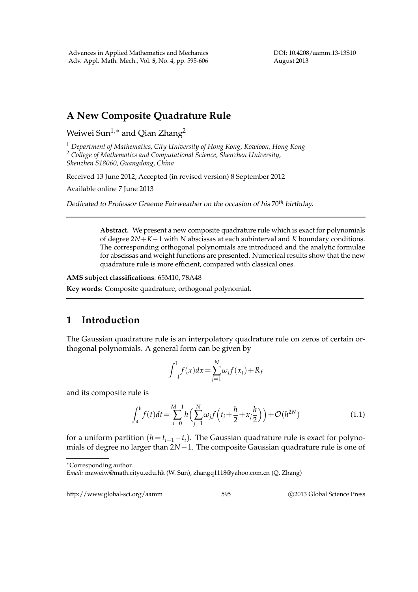DOI: 10.4208/aamm.13-13S10 August 2013

## **A New Composite Quadrature Rule**

Weiwei Sun<sup>1,∗</sup> and Qian Zhang<sup>2</sup>

<sup>1</sup> *Department of Mathematics, City University of Hong Kong, Kowloon, Hong Kong* <sup>2</sup> *College of Mathematics and Computational Science, Shenzhen University, Shenzhen 518060, Guangdong, China*

Received 13 June 2012; Accepted (in revised version) 8 September 2012

Available online 7 June 2013

Dedicated to Professor Graeme Fairweather on the occasion of his 70*th* birthday.

**Abstract.** We present a new composite quadrature rule which is exact for polynomials of degree 2*N*+*K*−1 with *N* abscissas at each subinterval and *K* boundary conditions. The corresponding orthogonal polynomials are introduced and the analytic formulae for abscissas and weight functions are presented. Numerical results show that the new quadrature rule is more efficient, compared with classical ones.

**AMS subject classifications**: 65M10, 78A48

**Key words**: Composite quadrature, orthogonal polynomial.

## **1 Introduction**

The Gaussian quadrature rule is an interpolatory quadrature rule on zeros of certain orthogonal polynomials. A general form can be given by

$$
\int_{-1}^{1} f(x)dx = \sum_{j=1}^{N} \omega_{j} f(x_{j}) + R_{f}
$$

and its composite rule is

$$
\int_{a}^{b} f(t)dt = \sum_{i=0}^{M-1} h\left(\sum_{j=1}^{N} \omega_{j} f\left(t_{i} + \frac{h}{2} + x_{j} \frac{h}{2}\right)\right) + \mathcal{O}(h^{2N})
$$
\n(1.1)

for a uniform partition  $(h = t_{i+1} - t_i)$ . The Gaussian quadrature rule is exact for polynomials of degree no larger than 2*N*−1. The composite Gaussian quadrature rule is one of

∗Corresponding author.

http://www.global-sci.org/aamm 595 c 2013 Global Science Press

*Email:* maweiw@math.cityu.edu.hk (W. Sun), zhangq1118@yahoo.com.cn (Q. Zhang)